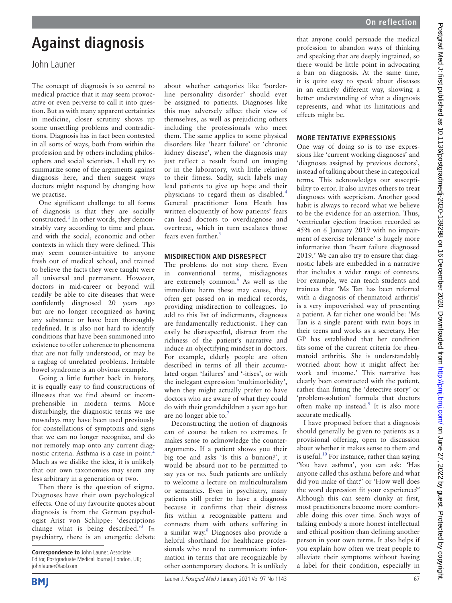# **Against diagnosis**

## John Launer

The concept of diagnosis is so central to medical practice that it may seem provocative or even perverse to call it into question. But as with many apparent certainties in medicine, closer scrutiny shows up some unsettling problems and contradictions. Diagnosis has in fact been contested in all sorts of ways, both from within the profession and by others including philosophers and social scientists. I shall try to summarize some of the arguments against diagnosis here, and then suggest ways doctors might respond by changing how we practise.

One significant challenge to all forms of diagnosis is that they are socially constructed. $<sup>1</sup>$  In other words, they demon-</sup> strably vary according to time and place, and with the social, economic and other contexts in which they were defined. This may seem counter-intuitive to anyone fresh out of medical school, and trained to believe the facts they were taught were all universal and permanent. However, doctors in mid-career or beyond will readily be able to cite diseases that were confidently diagnosed 20 years ago but are no longer recognized as having any substance or have been thoroughly redefined. It is also not hard to identify conditions that have been summoned into existence to offer coherence to phenomena that are not fully understood, or may be a ragbag of unrelated problems. Irritable bowel syndrome is an obvious example.

Going a little further back in history, it is equally easy to find constructions of illnesses that we find absurd or incomprehensible in modern terms. More disturbingly, the diagnostic terms we use nowadays may have been used previously for constellations of symptoms and signs that we can no longer recognize, and do not remotely map onto any current diagnostic criteria. Asthma is a case in point.<sup>2</sup> Much as we dislike the idea, it is unlikely that our own taxonomies may seem any less arbitrary in a generation or two.

Then there is the question of stigma. Diagnoses have their own psychological effects. One of my favourite quotes about diagnosis is from the German psychologist Arist von Schlippe: 'descriptions change what is being described.'<sup>3</sup> In psychiatry, there is an energetic debate

about whether categories like 'borderline personality disorder' should ever be assigned to patients. Diagnoses like this may adversely affect their view of themselves, as well as prejudicing others including the professionals who meet them. The same applies to some physical disorders like 'heart failure' or 'chronic kidney disease', when the diagnosis may just reflect a result found on imaging or in the laboratory, with little relation to their fitness. Sadly, such labels may lead patients to give up hope and their physicians to regard them as disabled.<sup>4</sup> General practitioner Iona Heath has written eloquently of how patients' fears can lead doctors to overdiagnose and overtreat, which in turn escalates those fears even further.<sup>5</sup>

### **MISDIRECTION AND DISRESPECT**

The problems do not stop there. Even in conventional terms, misdiagnoses are extremely common.<sup>6</sup> As well as the immediate harm these may cause, they often get passed on in medical records, providing misdirection to colleagues. To add to this list of indictments, diagnoses are fundamentally reductionist. They can easily be disrespectful, distract from the richness of the patient's narrative and induce an objectifying mindset in doctors. For example, elderly people are often described in terms of all their accumulated organ 'failures' and '-itises', or with the inelegant expression 'multimorbidity', when they might actually prefer to have doctors who are aware of what they could do with their grandchildren a year ago but are no longer able to.<sup>7</sup>

Deconstructing the notion of diagnosis can of course be taken to extremes. It makes sense to acknowledge the counterarguments. If a patient shows you their big toe and asks 'Is this a bunion?', it would be absurd not to be permitted to say yes or no. Such patients are unlikely to welcome a lecture on multiculturalism or semantics. Even in psychiatry, many patients still prefer to have a diagnosis because it confirms that their distress fits within a recognizable pattern and connects them with others suffering in a similar way.8 Diagnoses also provide a helpful shorthand for healthcare professionals who need to communicate information in terms that are recognizable by other contemporary doctors. It is unlikely

that anyone could persuade the medical profession to abandon ways of thinking and speaking that are deeply ingrained, so there would be little point in advocating a ban on diagnosis. At the same time, it is quite easy to speak about diseases in an entirely different way, showing a better understanding of what a diagnosis represents, and what its limitations and effects might be.

## **MORE TENTATIVE EXPRESSIONS**

One way of doing so is to use expressions like 'current working diagnoses' and 'diagnoses assigned by previous doctors', instead of talking about these in categorical terms. This acknowledges our susceptibility to error. It also invites others to treat diagnoses with scepticism. Another good habit is always to record what we believe to be the evidence for an assertion. Thus, 'ventricular ejection fraction recorded as 45% on 6 January 2019 with no impairment of exercise tolerance' is hugely more informative than 'heart failure diagnosed 2019.' We can also try to ensure that diagnostic labels are embedded in a narrative that includes a wider range of contexts. For example, we can teach students and trainees that *'*Ms Tan has been referred with a diagnosis of rheumatoid arthritis' is a very impoverished way of presenting a patient. A far richer one would be: 'Ms Tan is a single parent with twin boys in their teens and works as a secretary. Her GP has established that her condition fits some of the current criteria for rheumatoid arthritis. She is understandably worried about how it might affect her work and income.*'* This narrative has clearly been constructed with the patient, rather than fitting the 'detective story' or 'problem-solution' formula that doctors often make up instead.<sup>9</sup> It is also more accurate medically.

I have proposed before that a diagnosis should generally be given to patients as a provisional offering, open to discussion about whether it makes sense to them and is useful.<sup>10</sup> For instance, rather than saying 'You have asthma', you can ask: *'*Has anyone called this asthma before and what did you make of that*?'* or 'How well does the word depression fit your experience*?'* Although this can seem clunky at first, most practitioners become more comfortable doing this over time. Such ways of talking embody a more honest intellectual and ethical position than defining another person in your own terms. It also helps if you explain how often we treat people to alleviate their symptoms without having a label for their condition, especially in

**Correspondence to** John Launer, Associate Editor, Postgraduate Medical Journal, London, UK; johnlauner@aol.com